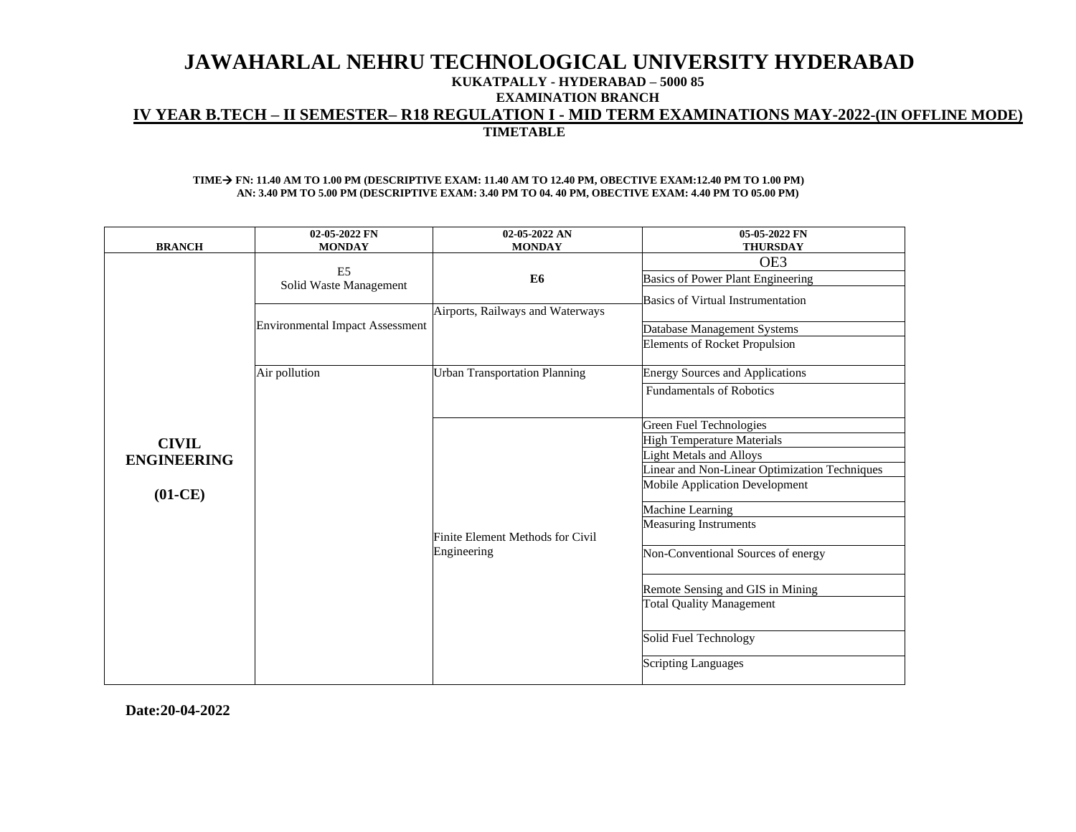## **KUKATPALLY - HYDERABAD – 5000 85**

**EXAMINATION BRANCH**

# **IV YEAR B.TECH – II SEMESTER– R18 REGULATION I - MID TERM EXAMINATIONS MAY-2022-(IN OFFLINE MODE)**

**TIMETABLE**

#### **TIME**→ **FN: 11.40 AM TO 1.00 PM (DESCRIPTIVE EXAM: 11.40 AM TO 12.40 PM, OBECTIVE EXAM:12.40 PM TO 1.00 PM) AN: 3.40 PM TO 5.00 PM (DESCRIPTIVE EXAM: 3.40 PM TO 04. 40 PM, OBECTIVE EXAM: 4.40 PM TO 05.00 PM)**

|                                 | 02-05-2022 FN                            | 02-05-2022 AN                           | 05-05-2022 FN                                                       |
|---------------------------------|------------------------------------------|-----------------------------------------|---------------------------------------------------------------------|
| <b>BRANCH</b>                   | <b>MONDAY</b>                            | <b>MONDAY</b>                           | <b>THURSDAY</b>                                                     |
|                                 | E <sub>5</sub><br>Solid Waste Management | E6                                      | OE3<br>Basics of Power Plant Engineering                            |
|                                 |                                          | Airports, Railways and Waterways        | Basics of Virtual Instrumentation                                   |
|                                 | <b>Environmental Impact Assessment</b>   |                                         | Database Management Systems                                         |
|                                 |                                          |                                         | <b>Elements of Rocket Propulsion</b>                                |
|                                 | Air pollution                            | <b>Urban Transportation Planning</b>    | <b>Energy Sources and Applications</b>                              |
|                                 |                                          |                                         | <b>Fundamentals of Robotics</b>                                     |
|                                 |                                          |                                         | Green Fuel Technologies                                             |
| <b>CIVIL</b>                    |                                          |                                         | <b>High Temperature Materials</b><br><b>Light Metals and Alloys</b> |
| <b>ENGINEERING</b><br>$(01-CE)$ |                                          |                                         | Linear and Non-Linear Optimization Techniques                       |
|                                 |                                          |                                         | <b>Mobile Application Development</b>                               |
|                                 |                                          |                                         | Machine Learning                                                    |
|                                 |                                          | <b>Finite Element Methods for Civil</b> | <b>Measuring Instruments</b>                                        |
|                                 |                                          | Engineering                             | Non-Conventional Sources of energy                                  |
|                                 |                                          |                                         | Remote Sensing and GIS in Mining                                    |
|                                 |                                          |                                         | <b>Total Quality Management</b>                                     |
|                                 |                                          |                                         | Solid Fuel Technology                                               |
|                                 |                                          |                                         | <b>Scripting Languages</b>                                          |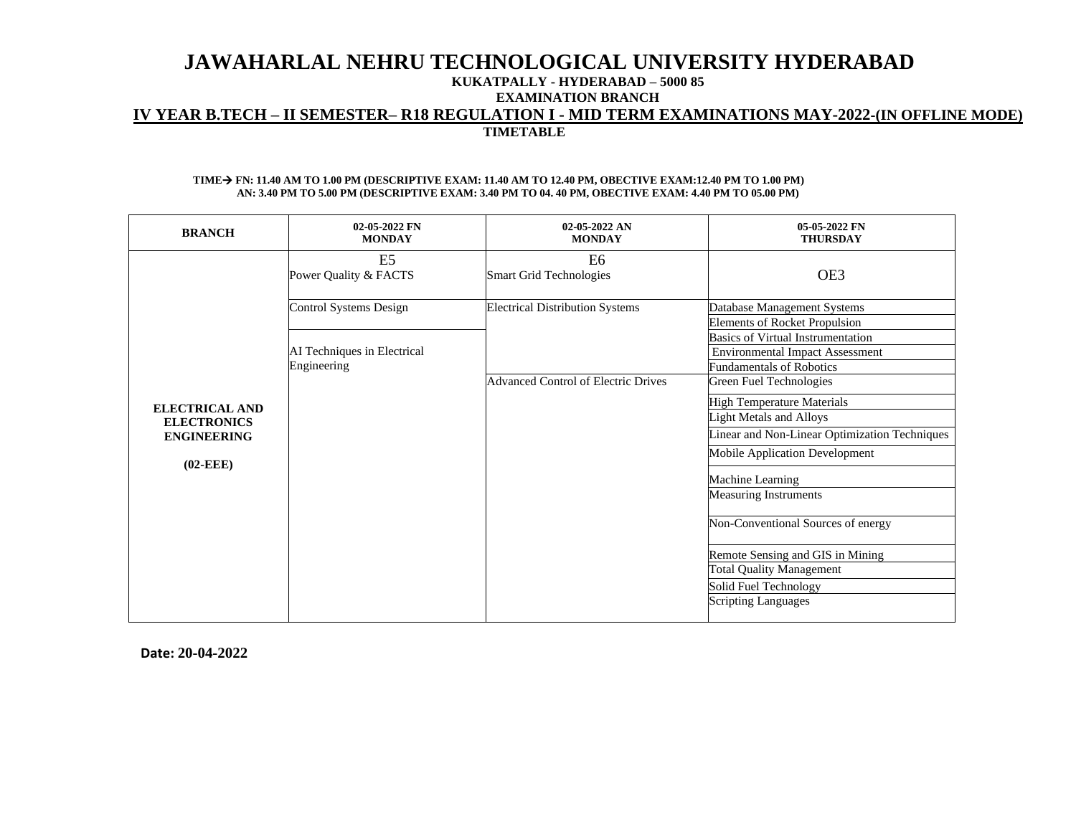### **KUKATPALLY - HYDERABAD – 5000 85**

**EXAMINATION BRANCH**

## **IV YEAR B.TECH – II SEMESTER– R18 REGULATION I - MID TERM EXAMINATIONS MAY-2022-(IN OFFLINE MODE) TIMETABLE**

#### **TIME**→ **FN: 11.40 AM TO 1.00 PM (DESCRIPTIVE EXAM: 11.40 AM TO 12.40 PM, OBECTIVE EXAM:12.40 PM TO 1.00 PM) AN: 3.40 PM TO 5.00 PM (DESCRIPTIVE EXAM: 3.40 PM TO 04. 40 PM, OBECTIVE EXAM: 4.40 PM TO 05.00 PM)**

| <b>BRANCH</b>                                                            | 02-05-2022 FN<br><b>MONDAY</b>                                       | 02-05-2022 AN<br><b>MONDAY</b>                   | 05-05-2022 FN<br><b>THURSDAY</b>                                                                                                                                                                                                                                                                                                                                                                          |
|--------------------------------------------------------------------------|----------------------------------------------------------------------|--------------------------------------------------|-----------------------------------------------------------------------------------------------------------------------------------------------------------------------------------------------------------------------------------------------------------------------------------------------------------------------------------------------------------------------------------------------------------|
|                                                                          | E5<br>Power Quality & FACTS                                          | E <sub>6</sub><br><b>Smart Grid Technologies</b> | OE3                                                                                                                                                                                                                                                                                                                                                                                                       |
|                                                                          | Control Systems Design<br>AI Techniques in Electrical<br>Engineering | <b>Electrical Distribution Systems</b>           | Database Management Systems<br><b>Elements of Rocket Propulsion</b><br>Basics of Virtual Instrumentation<br><b>Environmental Impact Assessment</b><br>Fundamentals of Robotics                                                                                                                                                                                                                            |
| ELECTRICAL AND<br><b>ELECTRONICS</b><br><b>ENGINEERING</b><br>$(02-EEE)$ |                                                                      | <b>Advanced Control of Electric Drives</b>       | Green Fuel Technologies<br><b>High Temperature Materials</b><br><b>Light Metals and Alloys</b><br>Linear and Non-Linear Optimization Techniques<br>Mobile Application Development<br>Machine Learning<br><b>Measuring Instruments</b><br>Non-Conventional Sources of energy<br>Remote Sensing and GIS in Mining<br><b>Total Quality Management</b><br>Solid Fuel Technology<br><b>Scripting Languages</b> |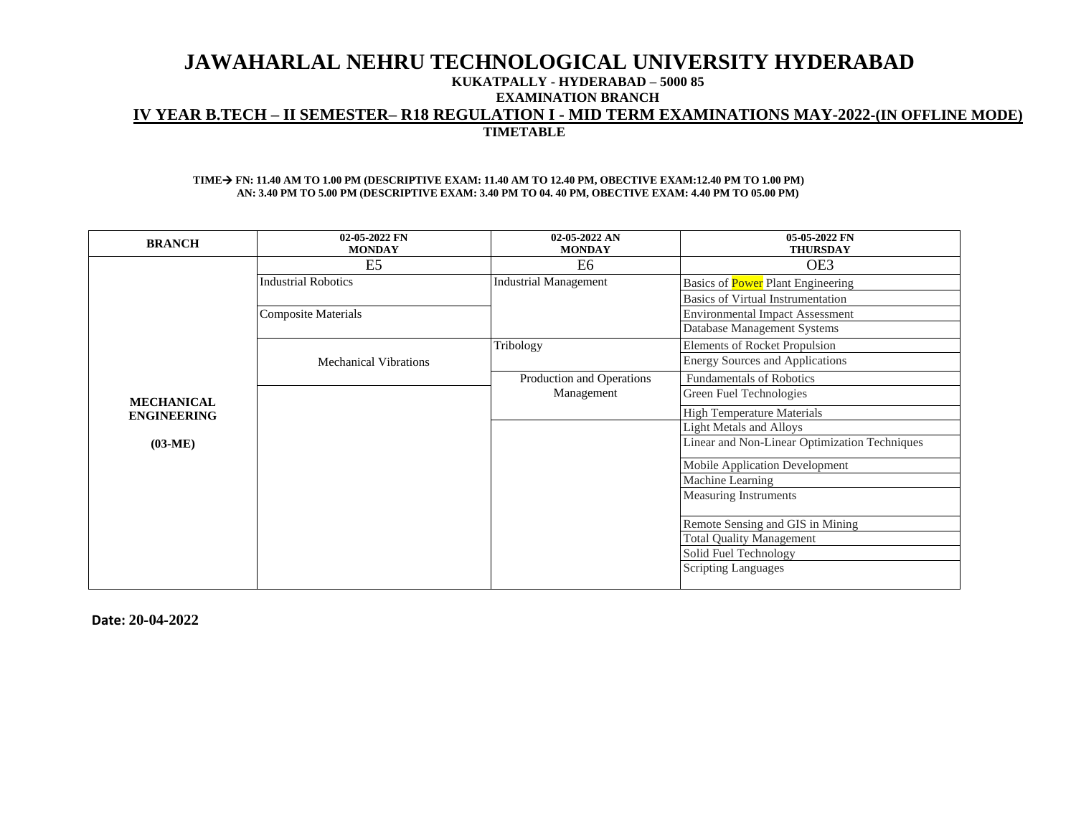## **JAWAHARLAL NEHRU TECHNOLOGICAL UNIVERSITY HYDERABAD KUKATPALLY - HYDERABAD – 5000 85 EXAMINATION BRANCH IV YEAR B.TECH – II SEMESTER– R18 REGULATION I - MID TERM EXAMINATIONS MAY-2022-(IN OFFLINE MODE) TIMETABLE**

#### **TIME**→ **FN: 11.40 AM TO 1.00 PM (DESCRIPTIVE EXAM: 11.40 AM TO 12.40 PM, OBECTIVE EXAM:12.40 PM TO 1.00 PM) AN: 3.40 PM TO 5.00 PM (DESCRIPTIVE EXAM: 3.40 PM TO 04. 40 PM, OBECTIVE EXAM: 4.40 PM TO 05.00 PM)**

| <b>BRANCH</b>      | 02-05-2022 FN<br><b>MONDAY</b> | 02-05-2022 AN<br><b>MONDAY</b> | 05-05-2022 FN<br><b>THURSDAY</b>              |
|--------------------|--------------------------------|--------------------------------|-----------------------------------------------|
|                    | E <sub>5</sub>                 | E6                             | OE3                                           |
|                    | <b>Industrial Robotics</b>     | <b>Industrial Management</b>   | Basics of <b>Power</b> Plant Engineering      |
|                    |                                |                                | <b>Basics of Virtual Instrumentation</b>      |
|                    | <b>Composite Materials</b>     |                                | <b>Environmental Impact Assessment</b>        |
|                    |                                |                                | Database Management Systems                   |
|                    |                                | Tribology                      | Elements of Rocket Propulsion                 |
|                    | <b>Mechanical Vibrations</b>   |                                | <b>Energy Sources and Applications</b>        |
|                    |                                | Production and Operations      | <b>Fundamentals of Robotics</b>               |
| <b>MECHANICAL</b>  |                                | Management                     | Green Fuel Technologies                       |
| <b>ENGINEERING</b> |                                |                                | <b>High Temperature Materials</b>             |
|                    |                                |                                | <b>Light Metals and Alloys</b>                |
| $(03-ME)$          |                                |                                | Linear and Non-Linear Optimization Techniques |
|                    |                                |                                | <b>Mobile Application Development</b>         |
|                    |                                |                                | Machine Learning                              |
|                    |                                |                                | <b>Measuring Instruments</b>                  |
|                    |                                |                                | Remote Sensing and GIS in Mining              |
|                    |                                |                                | <b>Total Quality Management</b>               |
|                    |                                |                                | Solid Fuel Technology                         |
|                    |                                |                                | <b>Scripting Languages</b>                    |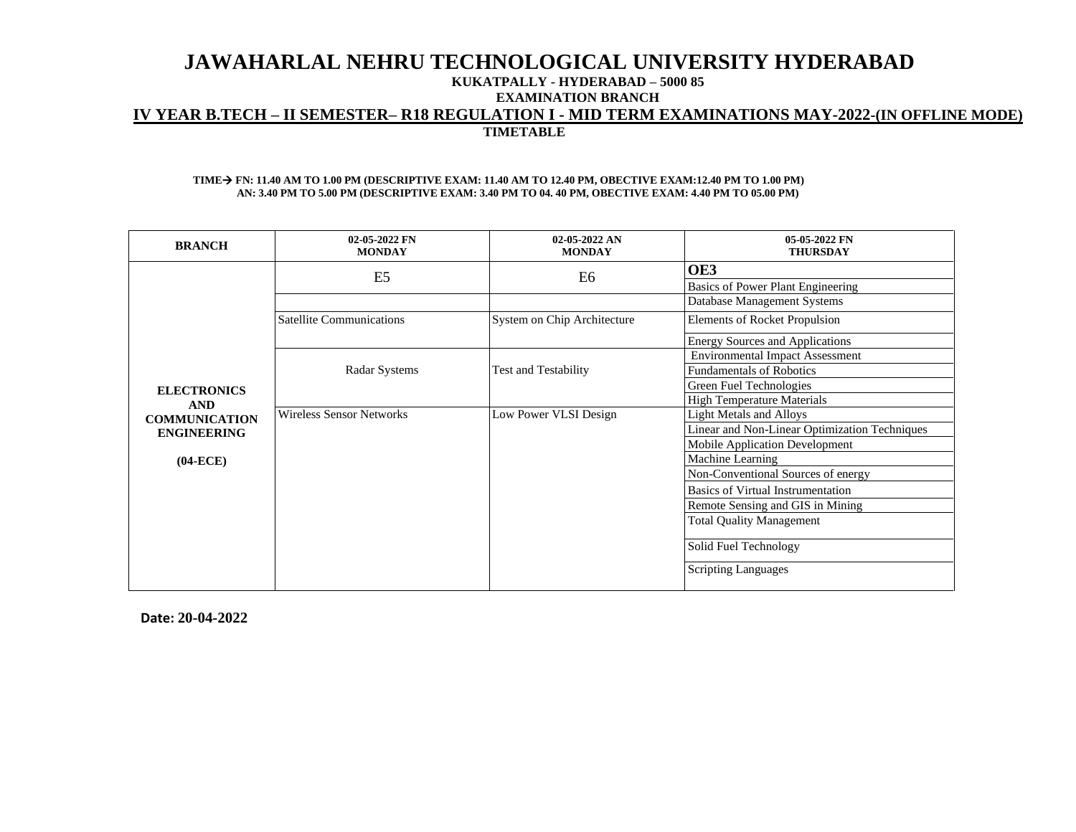### **KUKATPALLY - HYDERABAD – 5000 85**

**EXAMINATION BRANCH**

## **IV YEAR B.TECH – II SEMESTER– R18 REGULATION I - MID TERM EXAMINATIONS MAY-2022-(IN OFFLINE MODE) TIMETABLE**

#### **TIME**→ **FN: 11.40 AM TO 1.00 PM (DESCRIPTIVE EXAM: 11.40 AM TO 12.40 PM, OBECTIVE EXAM:12.40 PM TO 1.00 PM) AN: 3.40 PM TO 5.00 PM (DESCRIPTIVE EXAM: 3.40 PM TO 04. 40 PM, OBECTIVE EXAM: 4.40 PM TO 05.00 PM)**

| <b>BRANCH</b>                      | 02-05-2022 FN<br><b>MONDAY</b>  | $02-05-2022$ AN<br><b>MONDAY</b> | 05-05-2022 FN<br><b>THURSDAY</b>              |
|------------------------------------|---------------------------------|----------------------------------|-----------------------------------------------|
|                                    | E <sub>5</sub>                  | E6                               | OE3                                           |
|                                    |                                 |                                  | Basics of Power Plant Engineering             |
|                                    |                                 |                                  | Database Management Systems                   |
|                                    | <b>Satellite Communications</b> | System on Chip Architecture      | <b>Elements of Rocket Propulsion</b>          |
|                                    |                                 |                                  | <b>Energy Sources and Applications</b>        |
|                                    |                                 |                                  | <b>Environmental Impact Assessment</b>        |
|                                    | Radar Systems                   | <b>Test and Testability</b>      | <b>Fundamentals of Robotics</b>               |
| <b>ELECTRONICS</b>                 |                                 |                                  | Green Fuel Technologies                       |
| <b>AND</b><br><b>COMMUNICATION</b> |                                 |                                  | <b>High Temperature Materials</b>             |
|                                    | <b>Wireless Sensor Networks</b> | Low Power VLSI Design            | <b>Light Metals and Alloys</b>                |
| <b>ENGINEERING</b>                 |                                 |                                  | Linear and Non-Linear Optimization Techniques |
|                                    |                                 |                                  | Mobile Application Development                |
| $(04-ECE)$                         |                                 |                                  | Machine Learning                              |
|                                    |                                 |                                  | Non-Conventional Sources of energy            |
|                                    |                                 |                                  | <b>Basics of Virtual Instrumentation</b>      |
|                                    |                                 |                                  | Remote Sensing and GIS in Mining              |
|                                    |                                 |                                  | <b>Total Quality Management</b>               |
|                                    |                                 |                                  | Solid Fuel Technology                         |
|                                    |                                 |                                  | <b>Scripting Languages</b>                    |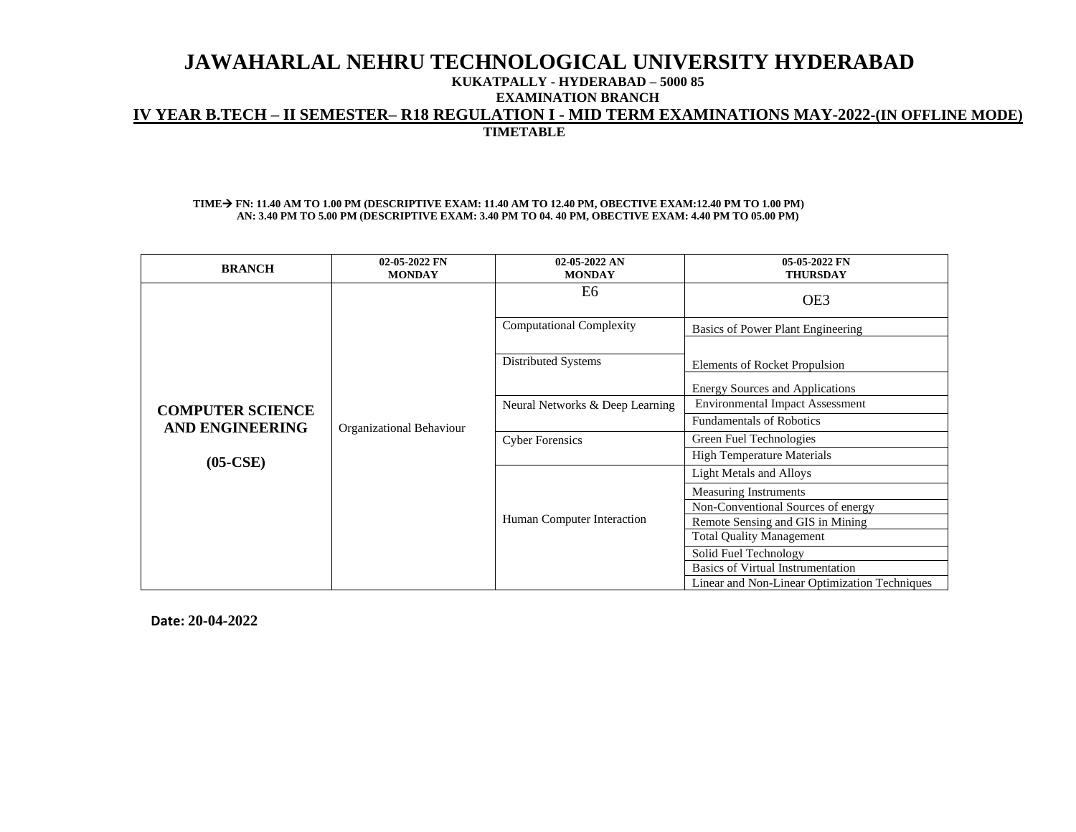## **KUKATPALLY - HYDERABAD – 5000 85**

**EXAMINATION BRANCH**

## **IV YEAR B.TECH – II SEMESTER– R18 REGULATION I - MID TERM EXAMINATIONS MAY-2022-(IN OFFLINE MODE)**

**TIMETABLE**

### **TIME**→ **FN: 11.40 AM TO 1.00 PM (DESCRIPTIVE EXAM: 11.40 AM TO 12.40 PM, OBECTIVE EXAM:12.40 PM TO 1.00 PM) AN: 3.40 PM TO 5.00 PM (DESCRIPTIVE EXAM: 3.40 PM TO 04. 40 PM, OBECTIVE EXAM: 4.40 PM TO 05.00 PM)**

| <b>BRANCH</b>                                     | 02-05-2022 FN<br><b>MONDAY</b> | $02-05-2022$ AN<br><b>MONDAY</b> | 05-05-2022 FN<br><b>THURSDAY</b>                                        |
|---------------------------------------------------|--------------------------------|----------------------------------|-------------------------------------------------------------------------|
|                                                   |                                | E6                               | OE3                                                                     |
|                                                   |                                | <b>Computational Complexity</b>  | Basics of Power Plant Engineering                                       |
|                                                   | Organizational Behaviour       | Distributed Systems              | Elements of Rocket Propulsion<br><b>Energy Sources and Applications</b> |
|                                                   |                                | Neural Networks & Deep Learning  | <b>Environmental Impact Assessment</b>                                  |
| <b>COMPUTER SCIENCE</b><br><b>AND ENGINEERING</b> |                                |                                  | <b>Fundamentals of Robotics</b>                                         |
| $(05-CSE)$                                        |                                | <b>Cyber Forensics</b>           | Green Fuel Technologies                                                 |
|                                                   |                                |                                  | <b>High Temperature Materials</b>                                       |
|                                                   |                                |                                  | <b>Light Metals and Alloys</b>                                          |
|                                                   |                                |                                  | Measuring Instruments                                                   |
|                                                   |                                |                                  | Non-Conventional Sources of energy                                      |
|                                                   |                                | Human Computer Interaction       | Remote Sensing and GIS in Mining                                        |
|                                                   |                                |                                  | <b>Total Quality Management</b>                                         |
|                                                   |                                |                                  | Solid Fuel Technology                                                   |
|                                                   |                                |                                  | <b>Basics of Virtual Instrumentation</b>                                |
|                                                   |                                |                                  | Linear and Non-Linear Optimization Techniques                           |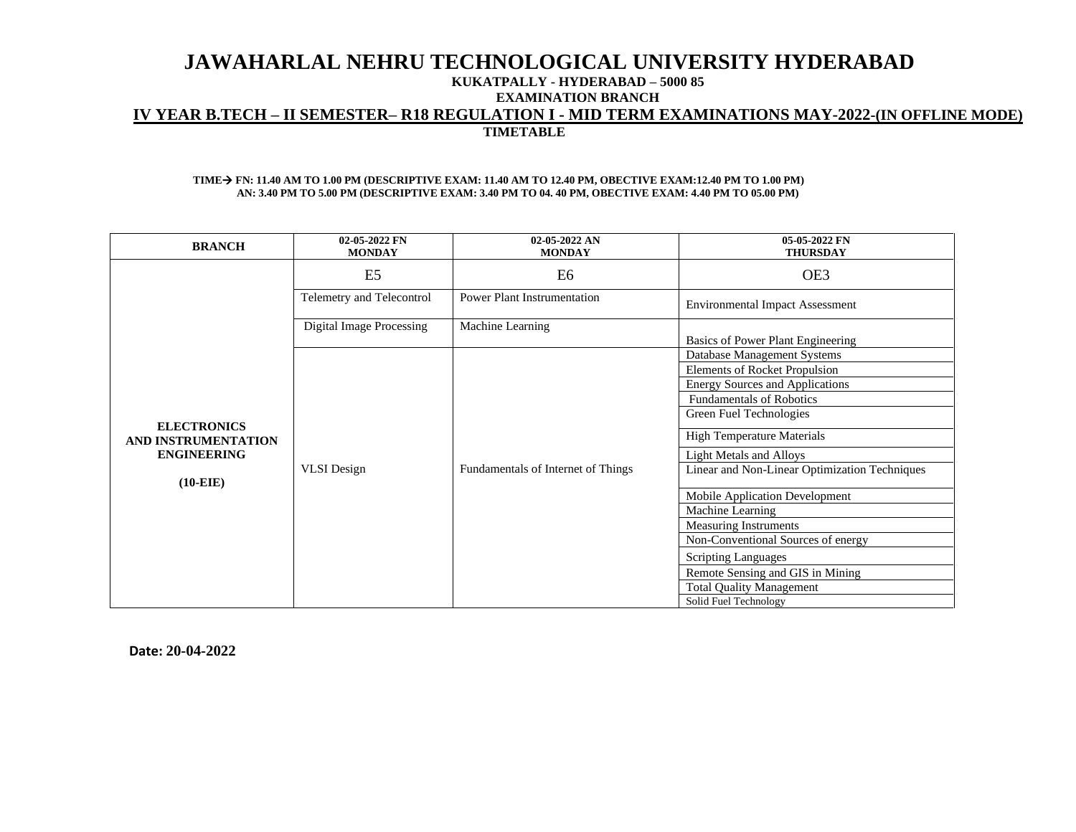## **JAWAHARLAL NEHRU TECHNOLOGICAL UNIVERSITY HYDERABAD KUKATPALLY - HYDERABAD – 5000 85**

**EXAMINATION BRANCH**

## **IV YEAR B.TECH – II SEMESTER– R18 REGULATION I - MID TERM EXAMINATIONS MAY-2022-(IN OFFLINE MODE) TIMETABLE**

#### **TIME**→ **FN: 11.40 AM TO 1.00 PM (DESCRIPTIVE EXAM: 11.40 AM TO 12.40 PM, OBECTIVE EXAM:12.40 PM TO 1.00 PM) AN: 3.40 PM TO 5.00 PM (DESCRIPTIVE EXAM: 3.40 PM TO 04. 40 PM, OBECTIVE EXAM: 4.40 PM TO 05.00 PM)**

| <b>BRANCH</b>                             | 02-05-2022 FN<br><b>MONDAY</b> | 02-05-2022 AN<br><b>MONDAY</b>     | 05-05-2022 FN<br><b>THURSDAY</b>              |
|-------------------------------------------|--------------------------------|------------------------------------|-----------------------------------------------|
|                                           | E <sub>5</sub>                 | E6                                 | OE3                                           |
|                                           | Telemetry and Telecontrol      | <b>Power Plant Instrumentation</b> | <b>Environmental Impact Assessment</b>        |
|                                           | Digital Image Processing       | Machine Learning                   | Basics of Power Plant Engineering             |
|                                           |                                |                                    | Database Management Systems                   |
|                                           |                                |                                    | <b>Elements of Rocket Propulsion</b>          |
|                                           |                                |                                    | <b>Energy Sources and Applications</b>        |
|                                           |                                |                                    | <b>Fundamentals of Robotics</b>               |
| <b>ELECTRONICS</b><br>AND INSTRUMENTATION |                                |                                    | Green Fuel Technologies                       |
|                                           |                                |                                    | <b>High Temperature Materials</b>             |
| <b>ENGINEERING</b>                        |                                |                                    | <b>Light Metals and Alloys</b>                |
| $(10-EIE)$                                | <b>VLSI</b> Design             | Fundamentals of Internet of Things | Linear and Non-Linear Optimization Techniques |
|                                           |                                |                                    | Mobile Application Development                |
|                                           |                                |                                    | Machine Learning                              |
|                                           |                                |                                    | <b>Measuring Instruments</b>                  |
|                                           |                                |                                    | Non-Conventional Sources of energy            |
|                                           |                                |                                    | <b>Scripting Languages</b>                    |
|                                           |                                |                                    | Remote Sensing and GIS in Mining              |
|                                           |                                |                                    | <b>Total Quality Management</b>               |
|                                           |                                |                                    | Solid Fuel Technology                         |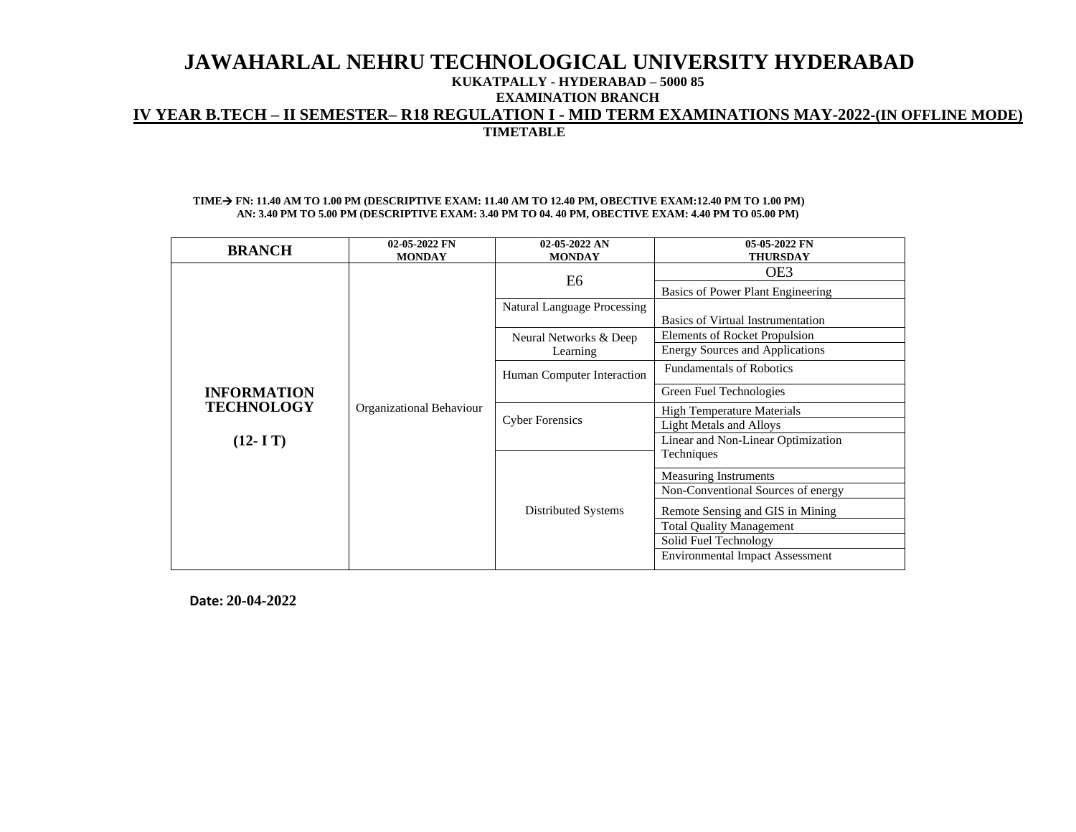### **KUKATPALLY - HYDERABAD – 5000 85**

**EXAMINATION BRANCH**

# **IV YEAR B.TECH – II SEMESTER– R18 REGULATION I - MID TERM EXAMINATIONS MAY-2022-(IN OFFLINE MODE)**

**TIMETABLE**

### **TIME**→ **FN: 11.40 AM TO 1.00 PM (DESCRIPTIVE EXAM: 11.40 AM TO 12.40 PM, OBECTIVE EXAM:12.40 PM TO 1.00 PM) AN: 3.40 PM TO 5.00 PM (DESCRIPTIVE EXAM: 3.40 PM TO 04. 40 PM, OBECTIVE EXAM: 4.40 PM TO 05.00 PM)**

| <b>BRANCH</b>      | 02-05-2022 FN<br><b>MONDAY</b> | 02-05-2022 AN<br><b>MONDAY</b>     | 05-05-2022 FN<br><b>THURSDAY</b>                                          |
|--------------------|--------------------------------|------------------------------------|---------------------------------------------------------------------------|
|                    |                                | E6                                 | OE3                                                                       |
|                    |                                |                                    | Basics of Power Plant Engineering                                         |
|                    |                                | Natural Language Processing        |                                                                           |
|                    |                                |                                    | <b>Basics of Virtual Instrumentation</b><br>Elements of Rocket Propulsion |
|                    |                                | Neural Networks & Deep<br>Learning | <b>Energy Sources and Applications</b>                                    |
|                    |                                |                                    | <b>Fundamentals of Robotics</b>                                           |
|                    |                                | Human Computer Interaction         |                                                                           |
| <b>INFORMATION</b> | Organizational Behaviour       |                                    | Green Fuel Technologies                                                   |
| <b>TECHNOLOGY</b>  |                                | <b>Cyber Forensics</b>             | <b>High Temperature Materials</b>                                         |
|                    |                                |                                    | <b>Light Metals and Alloys</b>                                            |
| $(12 - I T)$       |                                |                                    | Linear and Non-Linear Optimization                                        |
|                    |                                |                                    | Techniques                                                                |
|                    |                                |                                    | Measuring Instruments                                                     |
|                    |                                |                                    | Non-Conventional Sources of energy                                        |
|                    |                                | Distributed Systems                | Remote Sensing and GIS in Mining                                          |
|                    |                                |                                    | <b>Total Quality Management</b>                                           |
|                    |                                |                                    | Solid Fuel Technology                                                     |
|                    |                                |                                    | <b>Environmental Impact Assessment</b>                                    |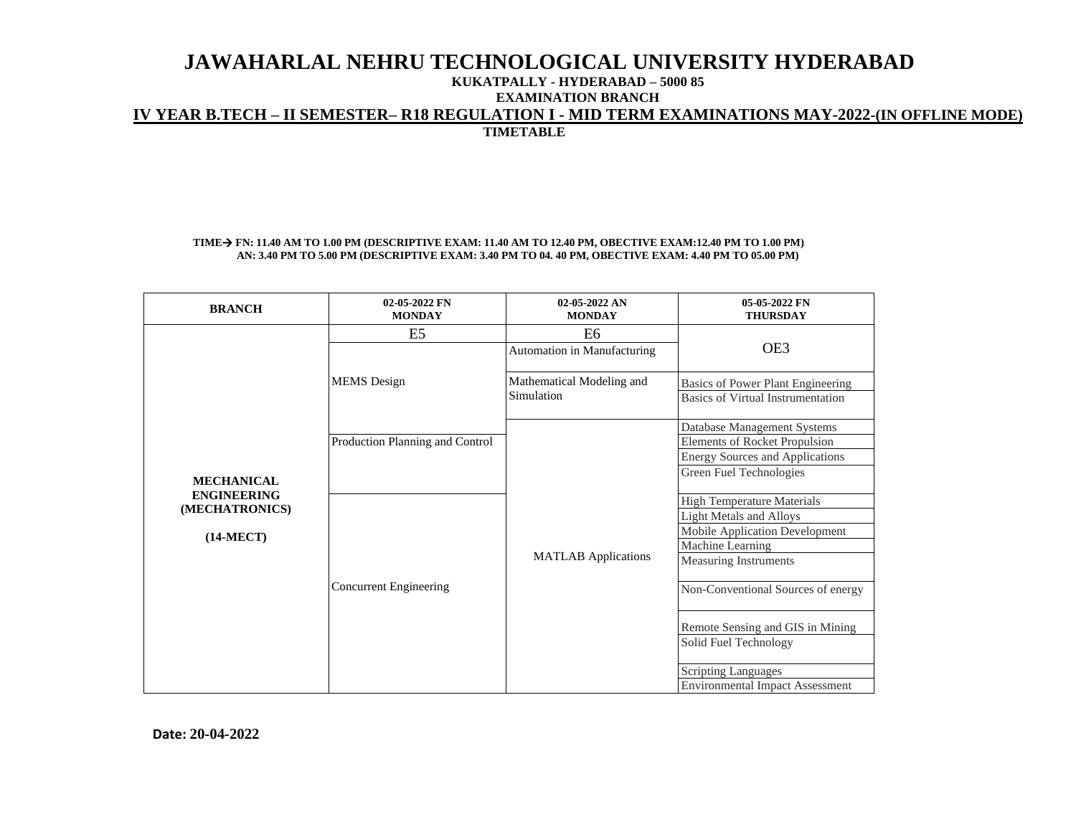## **KUKATPALLY - HYDERABAD – 5000 85**

**EXAMINATION BRANCH**

# **IV YEAR B.TECH – II SEMESTER– R18 REGULATION I - MID TERM EXAMINATIONS MAY-2022-(IN OFFLINE MODE)**

**TIMETABLE**

### **TIME**→ **FN: 11.40 AM TO 1.00 PM (DESCRIPTIVE EXAM: 11.40 AM TO 12.40 PM, OBECTIVE EXAM:12.40 PM TO 1.00 PM) AN: 3.40 PM TO 5.00 PM (DESCRIPTIVE EXAM: 3.40 PM TO 04. 40 PM, OBECTIVE EXAM: 4.40 PM TO 05.00 PM)**

| <b>BRANCH</b>                                       | 02-05-2022 FN<br><b>MONDAY</b>  | 02-05-2022 AN<br><b>MONDAY</b>                | 05-05-2022 FN<br><b>THURSDAY</b>                                                                                                                                                                |
|-----------------------------------------------------|---------------------------------|-----------------------------------------------|-------------------------------------------------------------------------------------------------------------------------------------------------------------------------------------------------|
|                                                     | E5                              | E <sub>6</sub><br>Automation in Manufacturing | OE3                                                                                                                                                                                             |
|                                                     | <b>MEMS</b> Design              | Mathematical Modeling and<br>Simulation       | Basics of Power Plant Engineering<br>Basics of Virtual Instrumentation                                                                                                                          |
| <b>MECHANICAL</b>                                   | Production Planning and Control |                                               | Database Management Systems<br><b>Elements of Rocket Propulsion</b><br><b>Energy Sources and Applications</b><br>Green Fuel Technologies                                                        |
| <b>ENGINEERING</b><br>(MECHATRONICS)<br>$(14-MECT)$ | <b>Concurrent Engineering</b>   | <b>MATLAB</b> Applications                    | <b>High Temperature Materials</b><br><b>Light Metals and Alloys</b><br>Mobile Application Development<br>Machine Learning<br><b>Measuring Instruments</b><br>Non-Conventional Sources of energy |
|                                                     |                                 |                                               | Remote Sensing and GIS in Mining<br>Solid Fuel Technology<br><b>Scripting Languages</b><br><b>Environmental Impact Assessment</b>                                                               |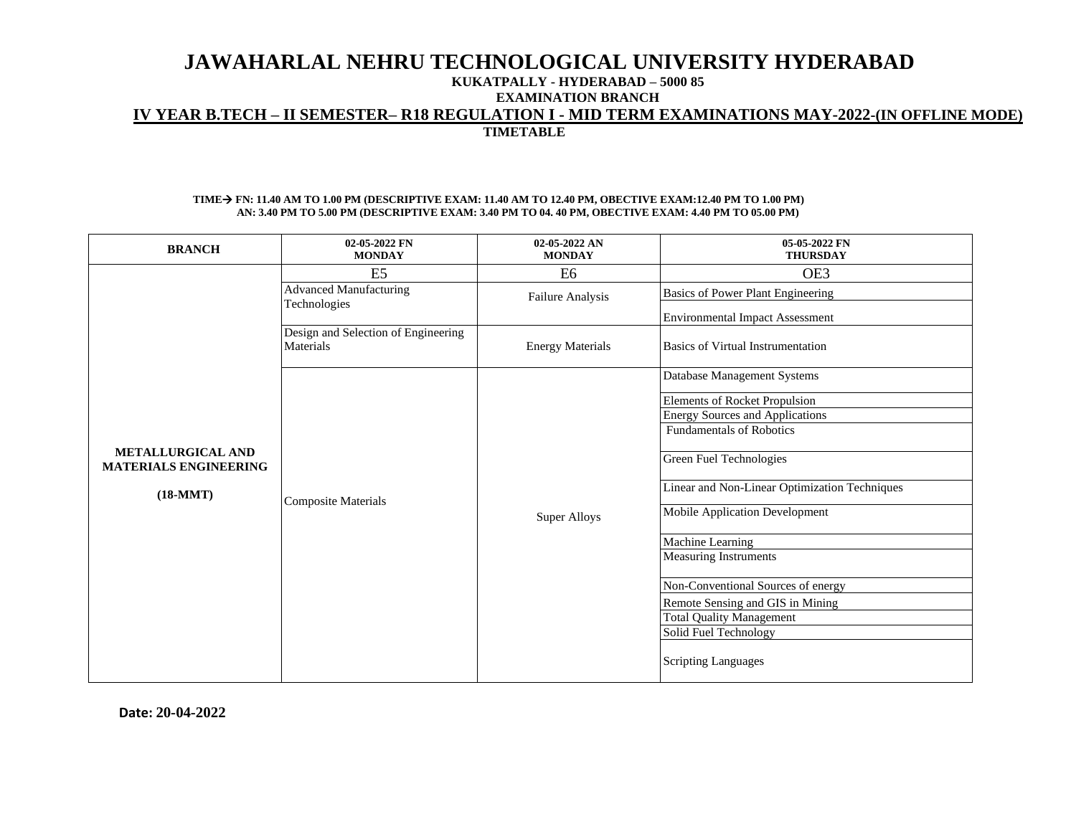## **KUKATPALLY - HYDERABAD – 5000 85**

**EXAMINATION BRANCH**

# **IV YEAR B.TECH – II SEMESTER– R18 REGULATION I - MID TERM EXAMINATIONS MAY-2022-(IN OFFLINE MODE)**

**TIMETABLE**

#### **TIME**→ **FN: 11.40 AM TO 1.00 PM (DESCRIPTIVE EXAM: 11.40 AM TO 12.40 PM, OBECTIVE EXAM:12.40 PM TO 1.00 PM) AN: 3.40 PM TO 5.00 PM (DESCRIPTIVE EXAM: 3.40 PM TO 04. 40 PM, OBECTIVE EXAM: 4.40 PM TO 05.00 PM)**

| <b>BRANCH</b>                                                          | 02-05-2022 FN<br><b>MONDAY</b>                   | 02-05-2022 AN<br><b>MONDAY</b> | 05-05-2022 FN<br><b>THURSDAY</b>              |
|------------------------------------------------------------------------|--------------------------------------------------|--------------------------------|-----------------------------------------------|
|                                                                        | E <sub>5</sub>                                   | E <sub>6</sub>                 | OE3                                           |
|                                                                        | <b>Advanced Manufacturing</b>                    | <b>Failure Analysis</b>        | Basics of Power Plant Engineering             |
|                                                                        | Technologies                                     |                                | <b>Environmental Impact Assessment</b>        |
|                                                                        | Design and Selection of Engineering<br>Materials | <b>Energy Materials</b>        | <b>Basics of Virtual Instrumentation</b>      |
|                                                                        |                                                  |                                | Database Management Systems                   |
|                                                                        |                                                  |                                | <b>Elements of Rocket Propulsion</b>          |
|                                                                        |                                                  |                                | <b>Energy Sources and Applications</b>        |
| <b>METALLURGICAL AND</b><br><b>MATERIALS ENGINEERING</b><br>$(18-MMT)$ | <b>Composite Materials</b>                       | <b>Super Alloys</b>            | <b>Fundamentals of Robotics</b>               |
|                                                                        |                                                  |                                | Green Fuel Technologies                       |
|                                                                        |                                                  |                                | Linear and Non-Linear Optimization Techniques |
|                                                                        |                                                  |                                | Mobile Application Development                |
|                                                                        |                                                  |                                | Machine Learning                              |
|                                                                        |                                                  |                                | <b>Measuring Instruments</b>                  |
|                                                                        |                                                  |                                | Non-Conventional Sources of energy            |
|                                                                        |                                                  |                                | Remote Sensing and GIS in Mining              |
|                                                                        |                                                  |                                | <b>Total Quality Management</b>               |
|                                                                        |                                                  |                                | Solid Fuel Technology                         |
|                                                                        |                                                  |                                | Scripting Languages                           |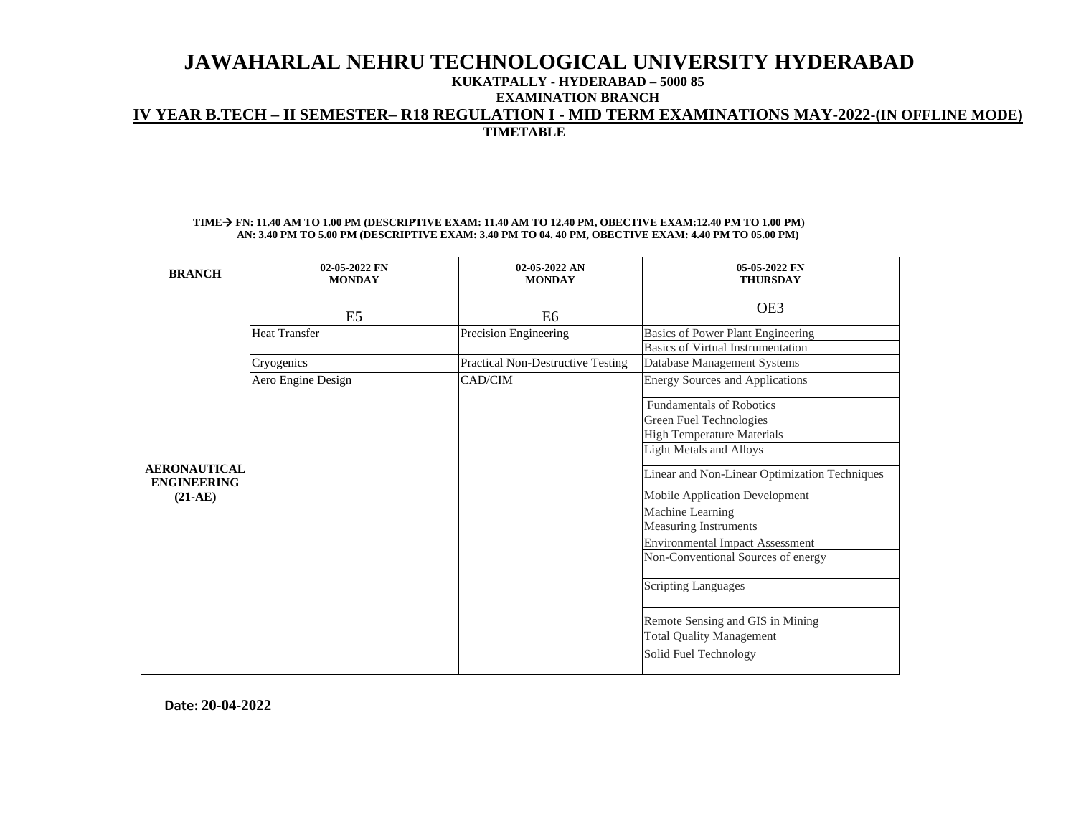### **KUKATPALLY - HYDERABAD – 5000 85**

**EXAMINATION BRANCH**

## **IV YEAR B.TECH – II SEMESTER– R18 REGULATION I - MID TERM EXAMINATIONS MAY-2022-(IN OFFLINE MODE)**

**TIMETABLE**

#### **TIME**→ **FN: 11.40 AM TO 1.00 PM (DESCRIPTIVE EXAM: 11.40 AM TO 12.40 PM, OBECTIVE EXAM:12.40 PM TO 1.00 PM) AN: 3.40 PM TO 5.00 PM (DESCRIPTIVE EXAM: 3.40 PM TO 04. 40 PM, OBECTIVE EXAM: 4.40 PM TO 05.00 PM)**

| <b>BRANCH</b>                             | 02-05-2022 FN<br><b>MONDAY</b> | $02-05-2022$ AN<br><b>MONDAY</b>         | 05-05-2022 FN<br><b>THURSDAY</b>                                       |
|-------------------------------------------|--------------------------------|------------------------------------------|------------------------------------------------------------------------|
|                                           | E <sub>5</sub>                 | E6                                       | OE3                                                                    |
|                                           | <b>Heat Transfer</b>           | Precision Engineering                    | Basics of Power Plant Engineering<br>Basics of Virtual Instrumentation |
|                                           | Cryogenics                     | <b>Practical Non-Destructive Testing</b> | Database Management Systems                                            |
|                                           | Aero Engine Design             | CAD/CIM                                  | <b>Energy Sources and Applications</b>                                 |
|                                           |                                |                                          | <b>Fundamentals of Robotics</b>                                        |
|                                           |                                |                                          | Green Fuel Technologies                                                |
|                                           |                                |                                          | <b>High Temperature Materials</b>                                      |
|                                           |                                |                                          | <b>Light Metals and Alloys</b>                                         |
| <b>AERONAUTICAL</b><br><b>ENGINEERING</b> |                                |                                          | Linear and Non-Linear Optimization Techniques                          |
| $(21-AE)$                                 |                                |                                          | Mobile Application Development                                         |
|                                           |                                |                                          | Machine Learning                                                       |
|                                           |                                |                                          | <b>Measuring Instruments</b>                                           |
|                                           |                                |                                          | <b>Environmental Impact Assessment</b>                                 |
|                                           |                                |                                          | Non-Conventional Sources of energy                                     |
|                                           |                                |                                          | <b>Scripting Languages</b>                                             |
|                                           |                                |                                          | Remote Sensing and GIS in Mining                                       |
|                                           |                                |                                          | <b>Total Quality Management</b>                                        |
|                                           |                                |                                          | Solid Fuel Technology                                                  |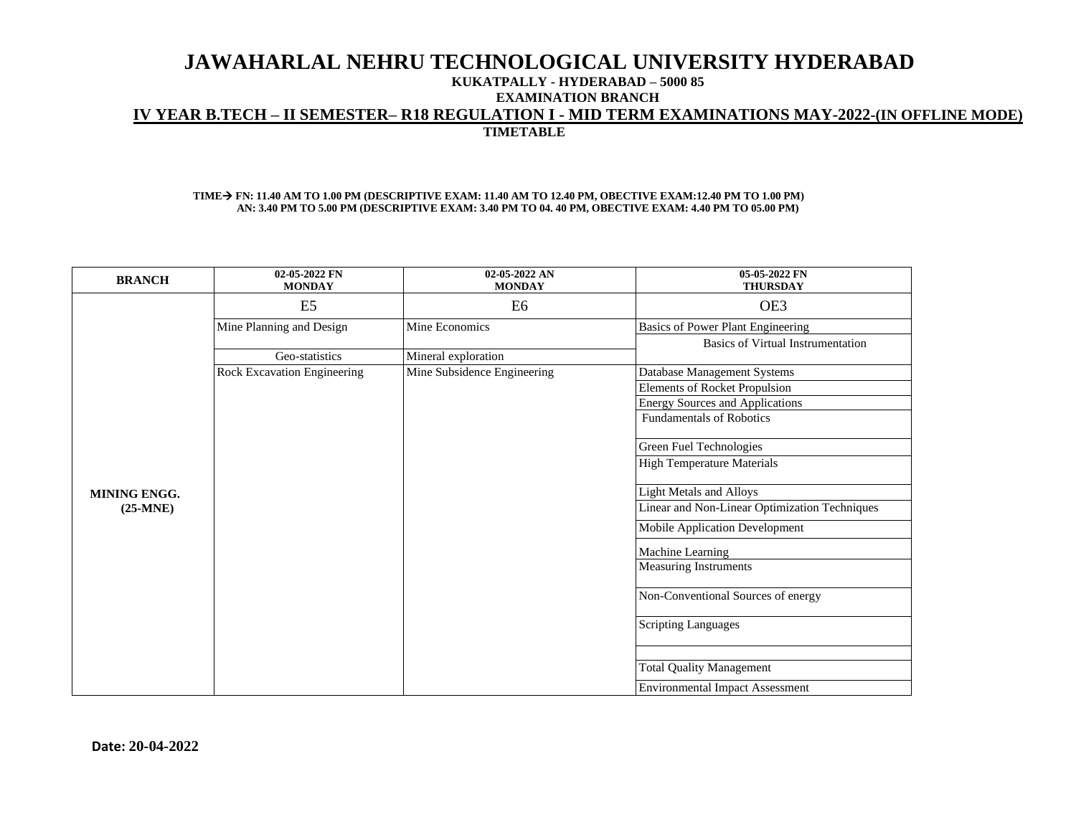### **KUKATPALLY - HYDERABAD – 5000 85**

**EXAMINATION BRANCH**

## **IV YEAR B.TECH – II SEMESTER– R18 REGULATION I - MID TERM EXAMINATIONS MAY-2022-(IN OFFLINE MODE)**

**TIMETABLE**

### **TIME**→ **FN: 11.40 AM TO 1.00 PM (DESCRIPTIVE EXAM: 11.40 AM TO 12.40 PM, OBECTIVE EXAM:12.40 PM TO 1.00 PM) AN: 3.40 PM TO 5.00 PM (DESCRIPTIVE EXAM: 3.40 PM TO 04. 40 PM, OBECTIVE EXAM: 4.40 PM TO 05.00 PM)**

| <b>BRANCH</b>       | 02-05-2022 FN<br><b>MONDAY</b> | 02-05-2022 AN<br><b>MONDAY</b> | 05-05-2022 FN<br><b>THURSDAY</b>              |
|---------------------|--------------------------------|--------------------------------|-----------------------------------------------|
|                     | E <sub>5</sub>                 | E <sub>6</sub>                 | OE3                                           |
|                     | Mine Planning and Design       | Mine Economics                 | Basics of Power Plant Engineering             |
|                     |                                |                                | <b>Basics of Virtual Instrumentation</b>      |
|                     | Geo-statistics                 | Mineral exploration            |                                               |
|                     | Rock Excavation Engineering    | Mine Subsidence Engineering    | Database Management Systems                   |
|                     |                                |                                | <b>Elements of Rocket Propulsion</b>          |
|                     |                                |                                | <b>Energy Sources and Applications</b>        |
|                     |                                |                                | <b>Fundamentals of Robotics</b>               |
|                     |                                |                                | Green Fuel Technologies                       |
|                     |                                |                                | <b>High Temperature Materials</b>             |
| <b>MINING ENGG.</b> |                                |                                | <b>Light Metals and Alloys</b>                |
| $(25-MNE)$          |                                |                                | Linear and Non-Linear Optimization Techniques |
|                     |                                |                                | Mobile Application Development                |
|                     |                                |                                | Machine Learning                              |
|                     |                                |                                | <b>Measuring Instruments</b>                  |
|                     |                                |                                | Non-Conventional Sources of energy            |
|                     |                                |                                | <b>Scripting Languages</b>                    |
|                     |                                |                                |                                               |
|                     |                                |                                | <b>Total Quality Management</b>               |
|                     |                                |                                | <b>Environmental Impact Assessment</b>        |